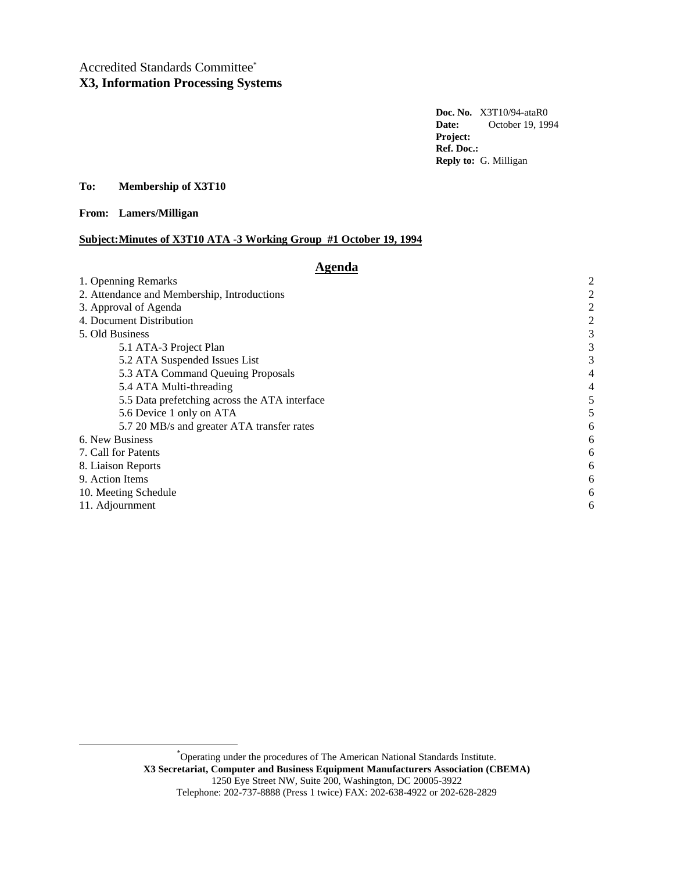# Accredited Standards Committee\* **X3, Information Processing Systems**

**Doc. No.** X3T10/94-ataR0 **Date:** October 19, 1994 **Project: Ref. Doc.: Reply to:** G. Milligan

**To: Membership of X3T10**

**From: Lamers/Milligan**

-

# **Subject:Minutes of X3T10 ATA -3 Working Group #1 October 19, 1994**

# **Agenda**

| 1. Openning Remarks                           | $\overline{2}$ |
|-----------------------------------------------|----------------|
| 2. Attendance and Membership, Introductions   |                |
| 3. Approval of Agenda                         | 2              |
| 4. Document Distribution                      | 2              |
| 5. Old Business                               | 3              |
| 5.1 ATA-3 Project Plan                        | 3              |
| 5.2 ATA Suspended Issues List                 | 3              |
| 5.3 ATA Command Queuing Proposals             | 4              |
| 5.4 ATA Multi-threading                       | 4              |
| 5.5 Data prefetching across the ATA interface | 5              |
| 5.6 Device 1 only on ATA                      | 5              |
| 5.7 20 MB/s and greater ATA transfer rates    | 6              |
| 6. New Business                               | 6              |
| 7. Call for Patents                           | 6              |
| 8. Liaison Reports                            | 6              |
| 9. Action Items                               | 6              |
| 10. Meeting Schedule                          |                |
| 11. Adjournment                               |                |

\*Operating under the procedures of The American National Standards Institute. **X3 Secretariat, Computer and Business Equipment Manufacturers Association (CBEMA)** 1250 Eye Street NW, Suite 200, Washington, DC 20005-3922 Telephone: 202-737-8888 (Press 1 twice) FAX: 202-638-4922 or 202-628-2829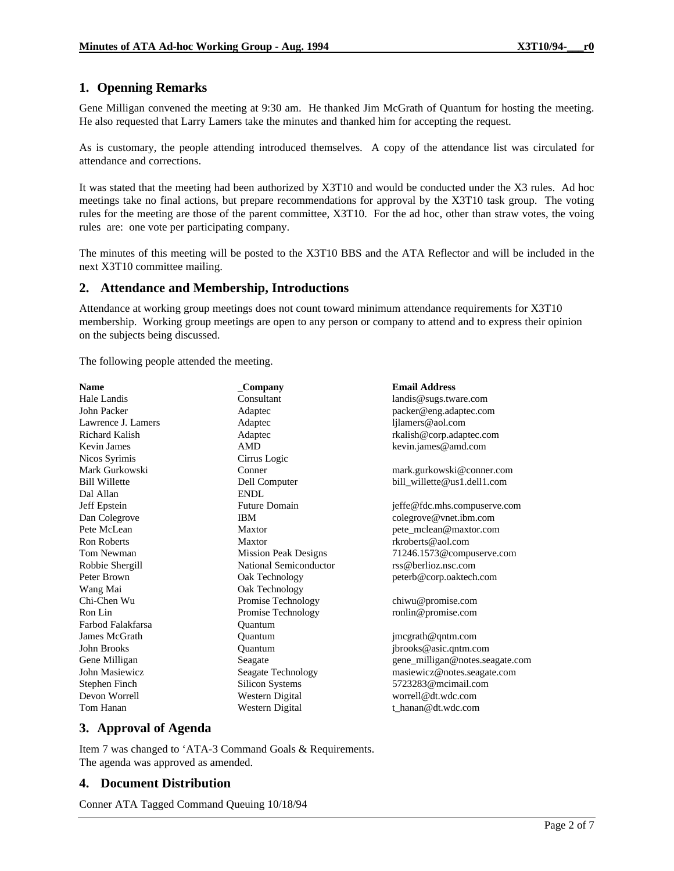# **1. Openning Remarks**

Gene Milligan convened the meeting at 9:30 am. He thanked Jim McGrath of Quantum for hosting the meeting. He also requested that Larry Lamers take the minutes and thanked him for accepting the request.

As is customary, the people attending introduced themselves. A copy of the attendance list was circulated for attendance and corrections.

It was stated that the meeting had been authorized by X3T10 and would be conducted under the X3 rules. Ad hoc meetings take no final actions, but prepare recommendations for approval by the X3T10 task group. The voting rules for the meeting are those of the parent committee, X3T10. For the ad hoc, other than straw votes, the voing rules are: one vote per participating company.

The minutes of this meeting will be posted to the X3T10 BBS and the ATA Reflector and will be included in the next X3T10 committee mailing.

# **2. Attendance and Membership, Introductions**

Attendance at working group meetings does not count toward minimum attendance requirements for X3T10 membership. Working group meetings are open to any person or company to attend and to express their opinion on the subjects being discussed.

The following people attended the meeting.

| <b>Name</b>          | _Company                    | <b>Email Address</b>                        |
|----------------------|-----------------------------|---------------------------------------------|
| Hale Landis          | Consultant                  | landis@sugs.tware.com                       |
| John Packer          | Adaptec                     | packer@eng.adaptec.com                      |
| Lawrence J. Lamers   | Adaptec                     | ljlamers@aol.com                            |
| Richard Kalish       | Adaptec                     | rkalish@corp.adaptec.com                    |
| <b>Kevin James</b>   | <b>AMD</b>                  | kevin.james@amd.com                         |
| Nicos Syrimis        | Cirrus Logic                |                                             |
| Mark Gurkowski       | Conner                      | mark.gurkowski@conner.com                   |
| <b>Bill Willette</b> | Dell Computer               | bill_willette@us1.dell1.com                 |
| Dal Allan            | ENDL                        |                                             |
| Jeff Epstein         | <b>Future Domain</b>        | jeffe@fdc.mhs.compuserve.com                |
| Dan Colegrove        | <b>IBM</b>                  | colegrove@vnet.ibm.com                      |
| Pete McLean          | Maxtor                      | pete_mclean@maxtor.com                      |
| <b>Ron Roberts</b>   | Maxtor                      | rkroberts@aol.com                           |
| Tom Newman           | <b>Mission Peak Designs</b> | 71246.1573@compuserve.com                   |
| Robbie Shergill      | National Semiconductor      | $\text{rss}\textcircled{a}$ berlioz.nsc.com |
| Peter Brown          | Oak Technology              | peterb@corp.oaktech.com                     |
| Wang Mai             | Oak Technology              |                                             |
| Chi-Chen Wu          | Promise Technology          | chiwu@promise.com                           |
| Ron Lin              | Promise Technology          | ronlin@promise.com                          |
| Farbod Falakfarsa    | Ouantum                     |                                             |
| James McGrath        | Ouantum                     | jmcgrath@qntm.com                           |
| John Brooks          | Quantum                     | jbrooks@asic.qntm.com                       |
| Gene Milligan        | Seagate                     | gene_milligan@notes.seagate.com             |
| John Masiewicz       | Seagate Technology          | masiewicz@notes.seagate.com                 |
| Stephen Finch        | Silicon Systems             | 5723283@mcimail.com                         |
| Devon Worrell        | Western Digital             | worrell@dt.wdc.com                          |
| Tom Hanan            | Western Digital             | t hanan@dt.wdc.com                          |

# **3. Approval of Agenda**

Item 7 was changed to 'ATA-3 Command Goals & Requirements. The agenda was approved as amended.

# **4. Document Distribution**

Conner ATA Tagged Command Queuing 10/18/94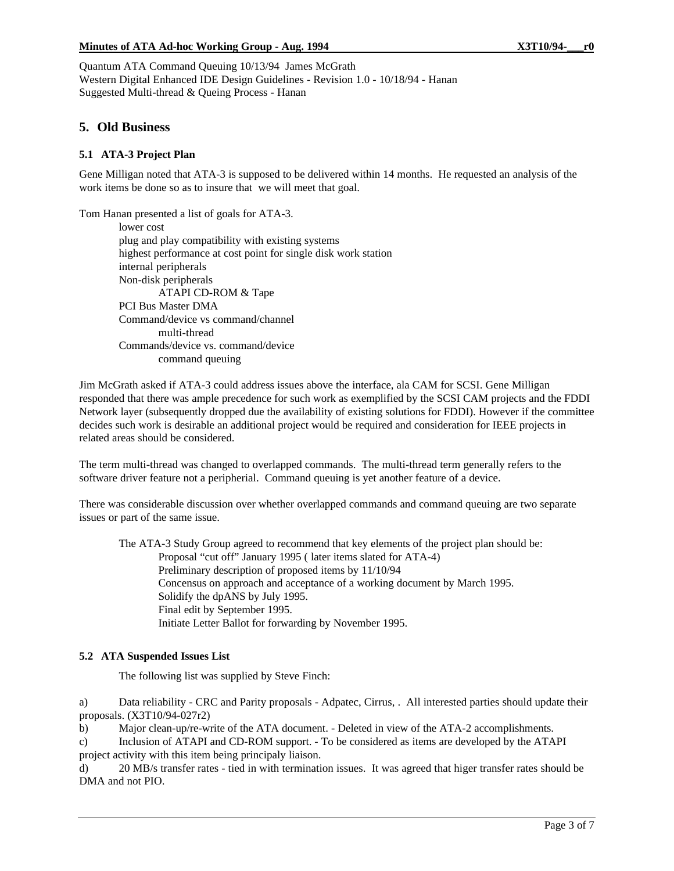### **Minutes of ATA Ad-hoc Working Group - Aug. 1994 X3T10/94-\_\_\_r0**

Quantum ATA Command Queuing 10/13/94 James McGrath Western Digital Enhanced IDE Design Guidelines - Revision 1.0 - 10/18/94 - Hanan Suggested Multi-thread & Queing Process - Hanan

# **5. Old Business**

## **5.1 ATA-3 Project Plan**

Gene Milligan noted that ATA-3 is supposed to be delivered within 14 months. He requested an analysis of the work items be done so as to insure that we will meet that goal.

Tom Hanan presented a list of goals for ATA-3.

lower cost plug and play compatibility with existing systems highest performance at cost point for single disk work station internal peripherals Non-disk peripherals ATAPI CD-ROM & Tape PCI Bus Master DMA Command/device vs command/channel multi-thread Commands/device vs. command/device command queuing

Jim McGrath asked if ATA-3 could address issues above the interface, ala CAM for SCSI. Gene Milligan responded that there was ample precedence for such work as exemplified by the SCSI CAM projects and the FDDI Network layer (subsequently dropped due the availability of existing solutions for FDDI). However if the committee decides such work is desirable an additional project would be required and consideration for IEEE projects in related areas should be considered.

The term multi-thread was changed to overlapped commands. The multi-thread term generally refers to the software driver feature not a peripherial. Command queuing is yet another feature of a device.

There was considerable discussion over whether overlapped commands and command queuing are two separate issues or part of the same issue.

The ATA-3 Study Group agreed to recommend that key elements of the project plan should be: Proposal "cut off" January 1995 ( later items slated for ATA-4) Preliminary description of proposed items by 11/10/94 Concensus on approach and acceptance of a working document by March 1995. Solidify the dpANS by July 1995. Final edit by September 1995. Initiate Letter Ballot for forwarding by November 1995.

## **5.2 ATA Suspended Issues List**

The following list was supplied by Steve Finch:

a) Data reliability - CRC and Parity proposals - Adpatec, Cirrus, . All interested parties should update their proposals. (X3T10/94-027r2)

b) Major clean-up/re-write of the ATA document. - Deleted in view of the ATA-2 accomplishments.

c) Inclusion of ATAPI and CD-ROM support. - To be considered as items are developed by the ATAPI project activity with this item being principaly liaison.

d) 20 MB/s transfer rates - tied in with termination issues. It was agreed that higer transfer rates should be DMA and not PIO.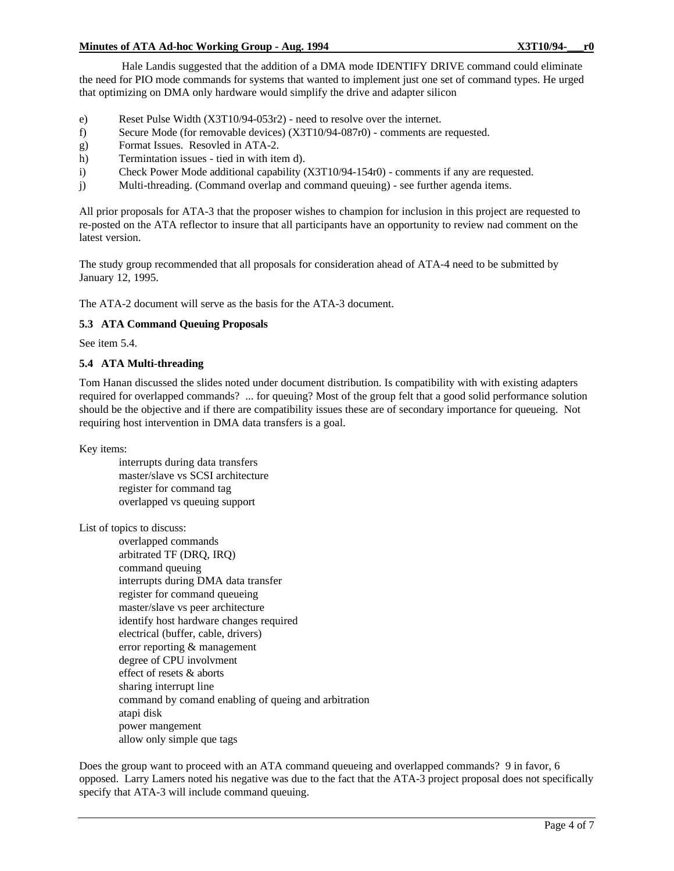#### **Minutes of ATA Ad-hoc Working Group - Aug. 1994 X3T10/94-\_\_\_r0**

 Hale Landis suggested that the addition of a DMA mode IDENTIFY DRIVE command could eliminate the need for PIO mode commands for systems that wanted to implement just one set of command types. He urged that optimizing on DMA only hardware would simplify the drive and adapter silicon

- e) Reset Pulse Width (X3T10/94-053r2) need to resolve over the internet.
- f) Secure Mode (for removable devices) (X3T10/94-087r0) comments are requested.
- g) Format Issues. Resovled in ATA-2.
- h) Termintation issues tied in with item d).
- i) Check Power Mode additional capability (X3T10/94-154r0) comments if any are requested.
- j) Multi-threading. (Command overlap and command queuing) see further agenda items.

All prior proposals for ATA-3 that the proposer wishes to champion for inclusion in this project are requested to re-posted on the ATA reflector to insure that all participants have an opportunity to review nad comment on the latest version.

The study group recommended that all proposals for consideration ahead of ATA-4 need to be submitted by January 12, 1995.

The ATA-2 document will serve as the basis for the ATA-3 document.

## **5.3 ATA Command Queuing Proposals**

See item 5.4.

## **5.4 ATA Multi-threading**

Tom Hanan discussed the slides noted under document distribution. Is compatibility with with existing adapters required for overlapped commands? ... for queuing? Most of the group felt that a good solid performance solution should be the objective and if there are compatibility issues these are of secondary importance for queueing. Not requiring host intervention in DMA data transfers is a goal.

Key items:

interrupts during data transfers master/slave vs SCSI architecture register for command tag overlapped vs queuing support

List of topics to discuss:

overlapped commands arbitrated TF (DRQ, IRQ) command queuing interrupts during DMA data transfer register for command queueing master/slave vs peer architecture identify host hardware changes required electrical (buffer, cable, drivers) error reporting & management degree of CPU involvment effect of resets & aborts sharing interrupt line command by comand enabling of queing and arbitration atapi disk power mangement allow only simple que tags

Does the group want to proceed with an ATA command queueing and overlapped commands? 9 in favor, 6 opposed. Larry Lamers noted his negative was due to the fact that the ATA-3 project proposal does not specifically specify that ATA-3 will include command queuing.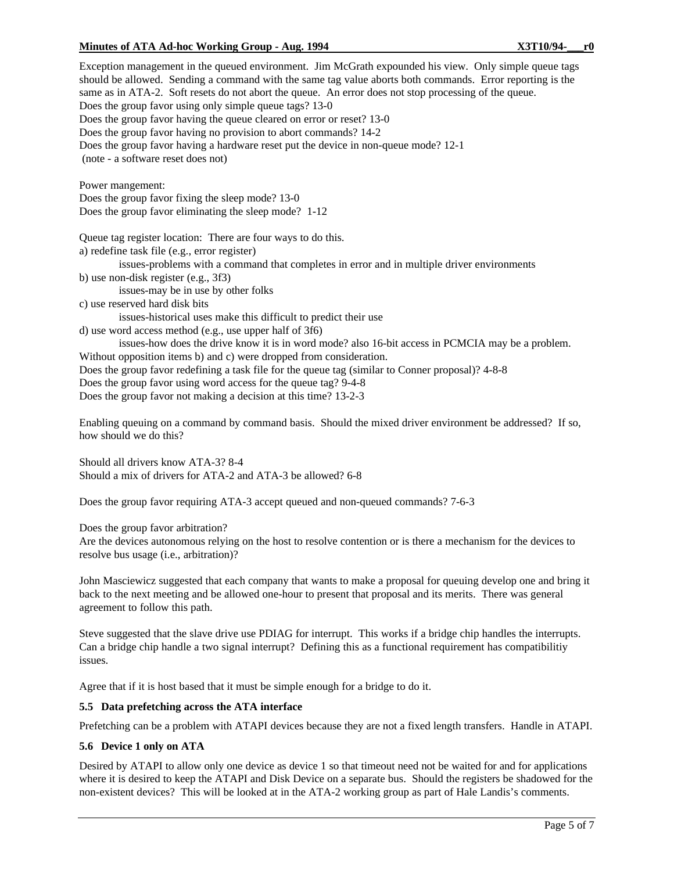### **Minutes of ATA Ad-hoc Working Group - Aug. 1994 X3T10/94-\_\_\_r0**

Exception management in the queued environment. Jim McGrath expounded his view. Only simple queue tags should be allowed. Sending a command with the same tag value aborts both commands. Error reporting is the same as in ATA-2. Soft resets do not abort the queue. An error does not stop processing of the queue. Does the group favor using only simple queue tags? 13-0 Does the group favor having the queue cleared on error or reset? 13-0 Does the group favor having no provision to abort commands? 14-2 Does the group favor having a hardware reset put the device in non-queue mode? 12-1 (note - a software reset does not) Power mangement: Does the group favor fixing the sleep mode? 13-0 Does the group favor eliminating the sleep mode? 1-12 Queue tag register location: There are four ways to do this. a) redefine task file (e.g., error register) issues-problems with a command that completes in error and in multiple driver environments b) use non-disk register (e.g., 3f3) issues-may be in use by other folks c) use reserved hard disk bits issues-historical uses make this difficult to predict their use d) use word access method (e.g., use upper half of 3f6) issues-how does the drive know it is in word mode? also 16-bit access in PCMCIA may be a problem. Without opposition items b) and c) were dropped from consideration. Does the group favor redefining a task file for the queue tag (similar to Conner proposal)? 4-8-8 Does the group favor using word access for the queue tag? 9-4-8 Does the group favor not making a decision at this time? 13-2-3 Enabling queuing on a command by command basis. Should the mixed driver environment be addressed? If so,

how should we do this?

Should all drivers know ATA-3? 8-4 Should a mix of drivers for ATA-2 and ATA-3 be allowed? 6-8

Does the group favor requiring ATA-3 accept queued and non-queued commands? 7-6-3

Does the group favor arbitration?

Are the devices autonomous relying on the host to resolve contention or is there a mechanism for the devices to resolve bus usage (i.e., arbitration)?

John Masciewicz suggested that each company that wants to make a proposal for queuing develop one and bring it back to the next meeting and be allowed one-hour to present that proposal and its merits. There was general agreement to follow this path.

Steve suggested that the slave drive use PDIAG for interrupt. This works if a bridge chip handles the interrupts. Can a bridge chip handle a two signal interrupt? Defining this as a functional requirement has compatibilitiy issues.

Agree that if it is host based that it must be simple enough for a bridge to do it.

### **5.5 Data prefetching across the ATA interface**

Prefetching can be a problem with ATAPI devices because they are not a fixed length transfers. Handle in ATAPI.

#### **5.6 Device 1 only on ATA**

Desired by ATAPI to allow only one device as device 1 so that timeout need not be waited for and for applications where it is desired to keep the ATAPI and Disk Device on a separate bus. Should the registers be shadowed for the non-existent devices? This will be looked at in the ATA-2 working group as part of Hale Landis's comments.